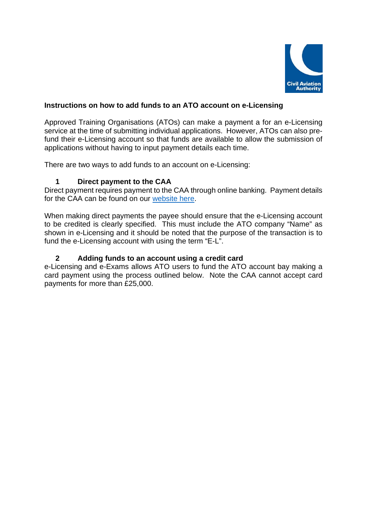

## **Instructions on how to add funds to an ATO account on e-Licensing**

Approved Training Organisations (ATOs) can make a payment a for an e-Licensing service at the time of submitting individual applications. However, ATOs can also prefund their e-Licensing account so that funds are available to allow the submission of applications without having to input payment details each time.

There are two ways to add funds to an account on e-Licensing:

## **1 Direct payment to the CAA**

Direct payment requires payment to the CAA through online banking. Payment details for the CAA can be found on our website here.

When making direct payments the payee should ensure that the e-Licensing account to be credited is clearly specified. This must include the ATO company "Name" as shown in e-Licensing and it should be noted that the purpose of the transaction is to fund the e-Licensing account with using the term "E-L".

## **2 Adding funds to an account using a credit card**

e-Licensing and e-Exams allows ATO users to fund the ATO account bay making a card payment using the process outlined below. Note the CAA cannot accept card payments for more than £25,000.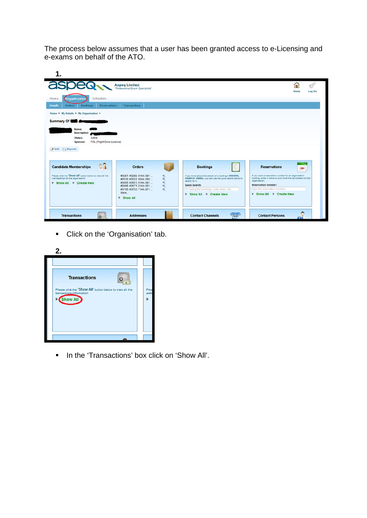The process below assumes that a user has been granted access to e-Licensing and e-exams on behalf of the ATO.

| aspean                                                                                                                                                           | <b>Aspeg Limited</b><br>"Professional Exam Specialists"                                                                                                                                                                                |                                                                                                                                                                                                                        | Œ<br>Home<br>Log On                                                                                                                                                                                                                  |
|------------------------------------------------------------------------------------------------------------------------------------------------------------------|----------------------------------------------------------------------------------------------------------------------------------------------------------------------------------------------------------------------------------------|------------------------------------------------------------------------------------------------------------------------------------------------------------------------------------------------------------------------|--------------------------------------------------------------------------------------------------------------------------------------------------------------------------------------------------------------------------------------|
| Schedule<br>Home<br>Organisation<br><b>Bookings</b><br><b>Details</b><br><b>Reservations</b><br><b>Orders</b><br>Home ▶ My Details ▶ My Organisation ▶           | <b>Transactions</b>                                                                                                                                                                                                                    |                                                                                                                                                                                                                        |                                                                                                                                                                                                                                      |
| Summary Of <b>Company</b>                                                                                                                                        |                                                                                                                                                                                                                                        |                                                                                                                                                                                                                        |                                                                                                                                                                                                                                      |
| <b>Description:</b><br><b>Status:</b><br>Active<br>FCL (Flight Crew Licence)<br>Sponsor:<br>Edit Reports                                                         |                                                                                                                                                                                                                                        |                                                                                                                                                                                                                        |                                                                                                                                                                                                                                      |
|                                                                                                                                                                  | <b>Orders</b>                                                                                                                                                                                                                          | <b>Bookings</b>                                                                                                                                                                                                        | <b>Reservations</b><br>$\infty$                                                                                                                                                                                                      |
| <b>Candidate Memberships</b><br>V. L<br>Please click the 'Show All' button below to view all the<br>memberships for the organisation.<br>▶ Show All ▶ Create New | #3281: #3286: 91AA: 091<br>e.<br>$\mathfrak{a}$<br>#3530: #3523: 92AA: 092<br>$\mathfrak{R}$<br>#3665: #3651: 91AA: 091<br>$\mathbf{R}$<br>#3685: #3671: 21AA: 021<br>#3765: #3753: 71AA: 071<br>$\Theta$<br>More<br><b>B</b> Show All | If you know about the details of a booking's SBSSION,<br>exam or status, you can use the quick search below to<br>search for it.<br>Quick Search:<br>Try typing the bookings code, exam, etc.<br>Show All F Create New | If you have a reservation number for an organisation<br>booking, enter it below to bulk book the candidates for that<br>organisation.<br>Reservation number:<br>Type the reservation number<br><b>E</b> Show All <b>F</b> Create New |

Click on the 'Organisation' tab.

| 2.                                                                                                |              |
|---------------------------------------------------------------------------------------------------|--------------|
|                                                                                                   |              |
| <b>Transactions</b>                                                                               |              |
| Please click the 'Show All' button below to view all the<br>transactions information.<br>Show All | Plea<br>addr |
|                                                                                                   |              |
|                                                                                                   |              |

In the 'Transactions' box click on 'Show All'.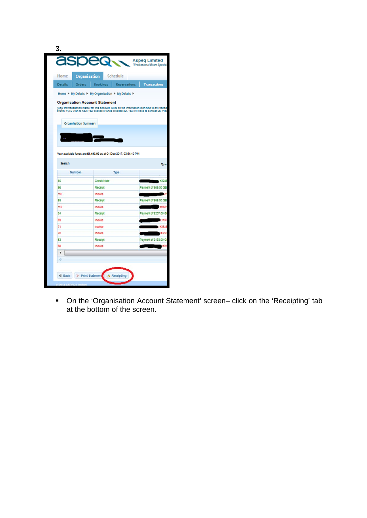| <b>Organisation</b><br>Home                                                                                                                                                                       |                 | <b>Schedule</b>     |                      |
|---------------------------------------------------------------------------------------------------------------------------------------------------------------------------------------------------|-----------------|---------------------|----------------------|
| <b>Details</b><br><b>Orders</b>                                                                                                                                                                   | <b>Bookings</b> | <b>Reservations</b> | <b>Transactions</b>  |
| Home ▶ My Detalls ▶ My Organisation ▶ My Details ▶                                                                                                                                                |                 |                     |                      |
| <b>Organisation Account Statement</b>                                                                                                                                                             |                 |                     |                      |
| View the transaction history for this account. Click on the information icon next to any transa<br>Note: if you wish to have your available funds credited out, you will need to contact us. Plea |                 |                     |                      |
|                                                                                                                                                                                                   |                 |                     |                      |
| <b>Organisation Summary</b>                                                                                                                                                                       |                 |                     |                      |
|                                                                                                                                                                                                   |                 |                     |                      |
|                                                                                                                                                                                                   |                 |                     |                      |
|                                                                                                                                                                                                   |                 |                     |                      |
|                                                                                                                                                                                                   |                 |                     |                      |
| <b>Search</b>                                                                                                                                                                                     |                 |                     |                      |
|                                                                                                                                                                                                   |                 |                     |                      |
| Number                                                                                                                                                                                            |                 | <b>Type</b>         |                      |
| 50                                                                                                                                                                                                | Credit Note     |                     |                      |
|                                                                                                                                                                                                   | Receipt         |                     | Payment of £69.00 GB |
|                                                                                                                                                                                                   | Involce         |                     |                      |
|                                                                                                                                                                                                   | Recelot         |                     | Payment of £69.00 GB |
|                                                                                                                                                                                                   | invoice         |                     |                      |
|                                                                                                                                                                                                   | Recelot         |                     | Payment of £207.00 G |
|                                                                                                                                                                                                   | Invoice         |                     |                      |
|                                                                                                                                                                                                   | Involce         |                     |                      |
|                                                                                                                                                                                                   | Invoice         |                     |                      |
|                                                                                                                                                                                                   | Receipt         |                     | Payment of £138.00 G |
| 96<br>116<br>95<br>115<br>54<br>53                                                                                                                                                                | Involce         |                     |                      |
| Your available funds are £1,493.00 as at 01 Dec 2017, 03:54:10 PM<br>69<br>71<br>70<br>68<br>٠                                                                                                    |                 |                     |                      |

 On the 'Organisation Account Statement' screen– click on the 'Receipting' tab at the bottom of the screen.